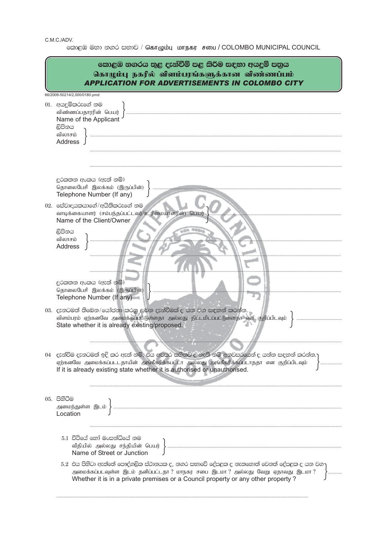C.M.C./ADV.

- ..<br>- කොළඹ මහා නගර සභාව / கொழும்பு மாநகர சபை / COLOMBO MUNICIPAL COUNCIL

|                              | කොළඹ නගරය තුළ දැන්වීම් පළ කිරීම සඳහා අයදුම් පතුය<br>கொழும்பு நகரில் விளம்பரங்களுக்கான விண்ணப்பம்<br><b>APPLICATION FOR ADVERTISEMENTS IN COLOMBO CITY</b>                                                                                                                           |  |
|------------------------------|-------------------------------------------------------------------------------------------------------------------------------------------------------------------------------------------------------------------------------------------------------------------------------------|--|
| 66/2009-50214/2,000/0180.pmd |                                                                                                                                                                                                                                                                                     |  |
|                              | 01. අයදුම්කරුගේ නම<br>விண்ணப்பதாரரின் பெயர்<br>Name of the Applicant<br>ලිපිනය<br>விலாசம்<br><b>Address</b>                                                                                                                                                                         |  |
|                              | දුරකතන අංකය (ඇත් නම්)<br>தொலைபேசி இலக்கம் (இருப்பின்)<br>Telephone Number (If any)                                                                                                                                                                                                  |  |
|                              | 02. සේවාදයකයාගේ/අයිතිකරුගේ නම<br>வாடிக்கையாளர் (சம்பந்தப்பட்டவர்/உரிமையாளரின்) பெயர்<br>Name of the Client/Owner                                                                                                                                                                    |  |
|                              | ලිපිනය<br>விலாசம்<br>Address                                                                                                                                                                                                                                                        |  |
|                              | දුරකතන අංකය (ඇත් නම්)<br>தொலைபேசி இலக்கம் (இருப்பின்)<br>Telephone Number (If any)                                                                                                                                                                                                  |  |
|                              | 03.  දැනටමත් තිබෙන/යෝජනා කරනු ලබන දැන්වීමක් ද යන වග සඳහන් කරන්න.<br>விளம்பரம் ஏற்கனவே அமைக்கப்பட்டுள்ளதா அல்லது திட்டமிடப்பட்டுள்ளதா என குறிப்பிடவும்<br>State whether it is already existing/proposed.                                                                             |  |
|                              | 04 දැන්වීම දැනටමත් ඉදි කර ඇත් නම්, එය අවසර සහිතව ද නැති නම් අනවසරයෙන් ද යන්න සඳහන් කරන්න. $\mathbf{\hat{y}}$<br>ஏற்கனவே அமைக்கப்படடதாயின் அங்கீகரிக்கபட்டா அல்லது அங்கீகரிக்கப்படாததா என குறிப்பிடவும்<br>If it is already existing state whether it is authorised or unauthorised. |  |
|                              | 05. පිනිටීම<br>அமைந்துள்ள இடம்<br>Location                                                                                                                                                                                                                                          |  |
|                              | 5.1 චීටීයේ හෝ මංසන්ධියේ නම<br>வீதியில் அல்லது சந்தியின் பெயர்<br>Name of Street or Junction                                                                                                                                                                                         |  |
|                              | 5.2  එය පිහිටා ඇත්තේ පෞද්ගලික ස්ථානයක ද, නගර සභාවේ දේපළක ද නැතහොත් වෙනත් දේපළක ද යන වග $_{\rm D}$<br>அமைக்கப்படவுள்ள இடம் தனிப்பட்டதா ? மாநகர சபை இடமா ? அல்லது வேறு ஏதாவது இடமா ?<br>Whether it is in a private premises or a Council property or any other property?              |  |